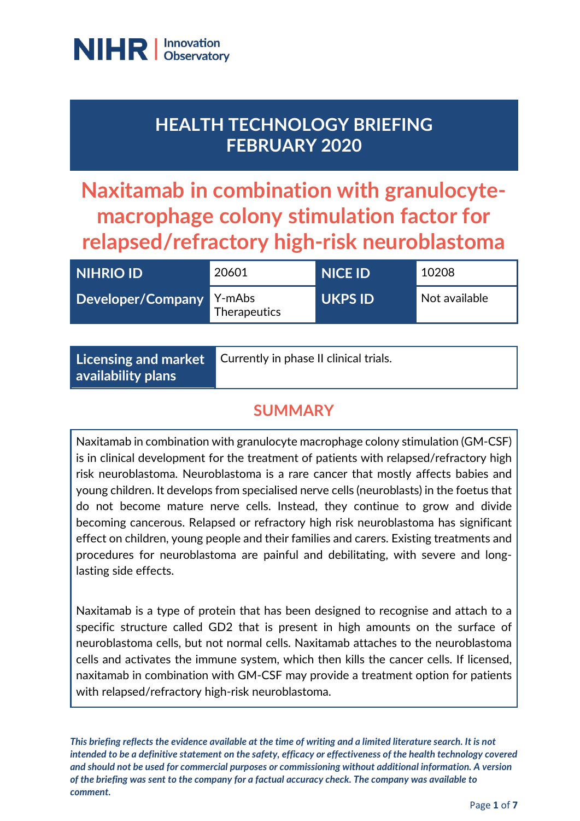

# **HEALTH TECHNOLOGY BRIEFING FEBRUARY 2020**

**Naxitamab in combination with granulocytemacrophage colony stimulation factor for relapsed/refractory high-risk neuroblastoma**

| <b>NIHRIO ID</b>  | 20601                  | <b>NICE ID</b> | 10208         |
|-------------------|------------------------|----------------|---------------|
| Developer/Company | Y-mAbs<br>Therapeutics | <b>UKPS ID</b> | Not available |

| Currently in phase II clinical trials.<br>$\mid$ Licensing and market $\mid$<br>availability plans |
|----------------------------------------------------------------------------------------------------|
|----------------------------------------------------------------------------------------------------|

# **SUMMARY**

Naxitamab in combination with granulocyte macrophage colony stimulation (GM-CSF) is in clinical development for the treatment of patients with relapsed/refractory high risk neuroblastoma. Neuroblastoma is a rare cancer that mostly affects babies and young children. It develops from specialised nerve cells (neuroblasts) in the foetus that do not become mature nerve cells. Instead, they continue to grow and divide becoming cancerous. Relapsed or refractory high risk neuroblastoma has significant effect on children, young people and their families and carers. Existing treatments and procedures for neuroblastoma are painful and debilitating, with severe and longlasting side effects.

Naxitamab is a type of protein that has been designed to recognise and attach to a specific structure called GD2 that is present in high amounts on the surface of neuroblastoma cells, but not normal cells. Naxitamab attaches to the neuroblastoma cells and activates the immune system, which then kills the cancer cells. If licensed, naxitamab in combination with GM-CSF may provide a treatment option for patients with relapsed/refractory high-risk neuroblastoma.

*This briefing reflects the evidence available at the time of writing and a limited literature search. It is not intended to be a definitive statement on the safety, efficacy or effectiveness of the health technology covered and should not be used for commercial purposes or commissioning without additional information. A version of the briefing was sent to the company for a factual accuracy check. The company was available to comment.*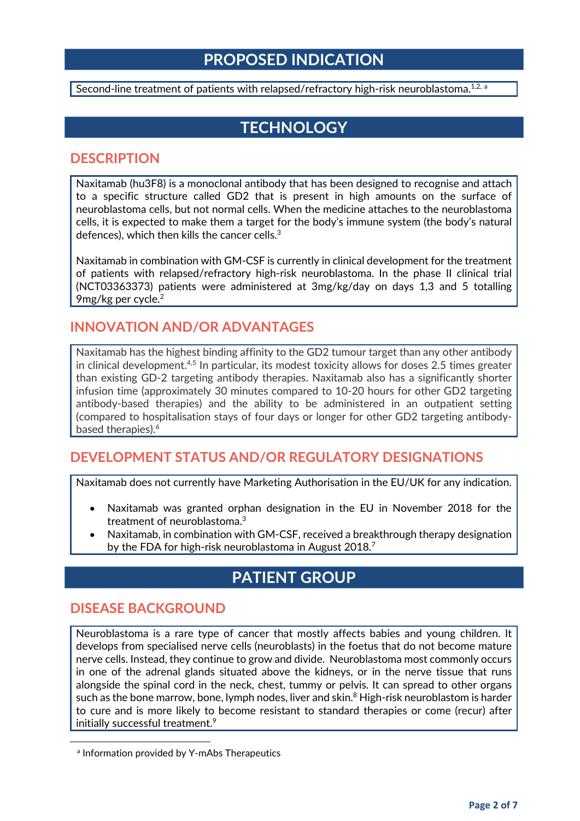# **PROPOSED INDICATION**

Second-line tre[a](#page-1-0)tment of patients with relapsed/refractory high-risk neuroblastoma.<sup>1,2, a</sup>

# **TECHNOLOGY**

#### **DESCRIPTION**

Naxitamab (hu3F8) is a monoclonal antibody that has been designed to recognise and attach to a specific structure called GD2 that is present in high amounts on the surface of neuroblastoma cells, but not normal cells. When the medicine attaches to the neuroblastoma cells, it is expected to make them a target for the body's immune system (the body's natural defences), which then kills the cancer cells. $3$ 

Naxitamab in combination with GM-CSF is currently in clinical development for the treatment of patients with relapsed/refractory high-risk neuroblastoma. In the phase II clinical trial (NCT03363373) patients were administered at 3mg/kg/day on days 1,3 and 5 totalling 9mg/kg per cycle.2

#### **INNOVATION AND/OR ADVANTAGES**

Naxitamab has the highest binding affinity to the GD2 tumour target than any other antibody in clinical development.<sup>4,5</sup> In particular, its modest toxicity allows for doses 2.5 times greater than existing GD-2 targeting antibody therapies. Naxitamab also has a significantly shorter infusion time (approximately 30 minutes compared to 10-20 hours for other GD2 targeting antibody-based therapies) and the ability to be administered in an outpatient setting (compared to hospitalisation stays of four days or longer for other GD2 targeting antibodybased therapies). 6

#### **DEVELOPMENT STATUS AND/OR REGULATORY DESIGNATIONS**

Naxitamab does not currently have Marketing Authorisation in the EU/UK for any indication.

- Naxitamab was granted orphan designation in the EU in November 2018 for the treatment of neuroblastoma.3
- Naxitamab, in combination with GM-CSF, received a breakthrough therapy designation by the FDA for high-risk neuroblastoma in August 2018. 7

# **PATIENT GROUP**

#### **DISEASE BACKGROUND**

<span id="page-1-0"></span>**.** 

Neuroblastoma is a rare type of cancer that mostly affects babies and young children. It develops from specialised nerve cells (neuroblasts) in the foetus that do not become mature nerve cells. Instead, they continue to grow and divide. Neuroblastoma most commonly occurs in one of the adrenal glands situated above the kidneys, or in the nerve tissue that runs alongside the spinal cord in the neck, chest, tummy or pelvis. It can spread to other organs such as the bone marrow, bone, lymph nodes, liver and skin. <sup>8</sup> High-risk neuroblastom is harder to cure and is more likely to become resistant to standard therapies or come (recur) after initially successful treatment.<sup>9</sup>

a Information provided by Y-mAbs Therapeutics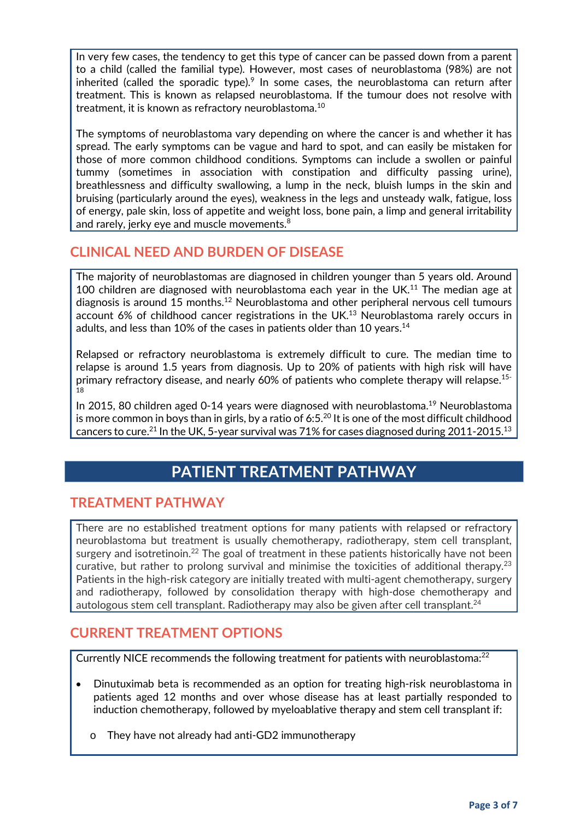In very few cases, the tendency to get this type of cancer can be passed down from a parent to a child (called the familial type). However, most cases of neuroblastoma (98%) are not inherited (called the sporadic type).<sup>9</sup> In some cases, the neuroblastoma can return after treatment. This is known as relapsed neuroblastoma. If the tumour does not resolve with treatment, it is known as refractory neuroblastoma.10

The symptoms of neuroblastoma vary depending on where the cancer is and whether it has spread. The early symptoms can be vague and hard to spot, and can easily be mistaken for those of more common childhood conditions. Symptoms can include a swollen or painful tummy (sometimes in association with constipation and difficulty passing urine), breathlessness and difficulty swallowing, a lump in the neck, bluish lumps in the skin and bruising (particularly around the eyes), weakness in the legs and unsteady walk, fatigue, loss of energy, pale skin, loss of appetite and weight loss, bone pain, a limp and general irritability and rarely, jerky eye and muscle movements.<sup>8</sup>

#### **CLINICAL NEED AND BURDEN OF DISEASE**

The majority of neuroblastomas are diagnosed in children younger than 5 years old. Around 100 children are diagnosed with neuroblastoma each year in the UK. $11$  The median age at diagnosis is around 15 months.<sup>12</sup> Neuroblastoma and other peripheral nervous cell tumours account 6% of childhood cancer registrations in the UK.<sup>13</sup> Neuroblastoma rarely occurs in adults, and less than 10% of the cases in patients older than 10 years.<sup>14</sup>

Relapsed or refractory neuroblastoma is extremely difficult to cure. The median time to relapse is around 1.5 years from diagnosis. Up to 20% of patients with high risk will have primary refractory disease, and nearly 60% of patients who complete therapy will relapse.15- 18

In 2015, 80 children aged 0-14 years were diagnosed with neuroblastoma.<sup>19</sup> Neuroblastoma is more common in boys than in girls, by a ratio of 6:5.<sup>20</sup> It is one of the most difficult childhood cancers to cure.<sup>21</sup> In the UK, 5-year survival was 71% for cases diagnosed during 2011-2015.<sup>13</sup>

# **PATIENT TREATMENT PATHWAY**

#### **TREATMENT PATHWAY**

There are no established treatment options for many patients with relapsed or refractory neuroblastoma but treatment is usually chemotherapy, radiotherapy, stem cell transplant, surgery and isotretinoin.<sup>22</sup> The goal of treatment in these patients historically have not been curative, but rather to prolong survival and minimise the toxicities of additional therapy.<sup>23</sup> Patients in the high-risk category are initially treated with multi-agent chemotherapy, surgery and radiotherapy, followed by consolidation therapy with high-dose chemotherapy and autologous stem cell transplant. Radiotherapy may also be given after cell transplant.<sup>24</sup>

#### **CURRENT TREATMENT OPTIONS**

Currently NICE recommends the following treatment for patients with neuroblastoma:<sup>22</sup>

- Dinutuximab beta is recommended as an option for treating high-risk neuroblastoma in patients aged 12 months and over whose disease has at least partially responded to induction chemotherapy, followed by myeloablative therapy and stem cell transplant if:
	- o They have not already had anti-GD2 immunotherapy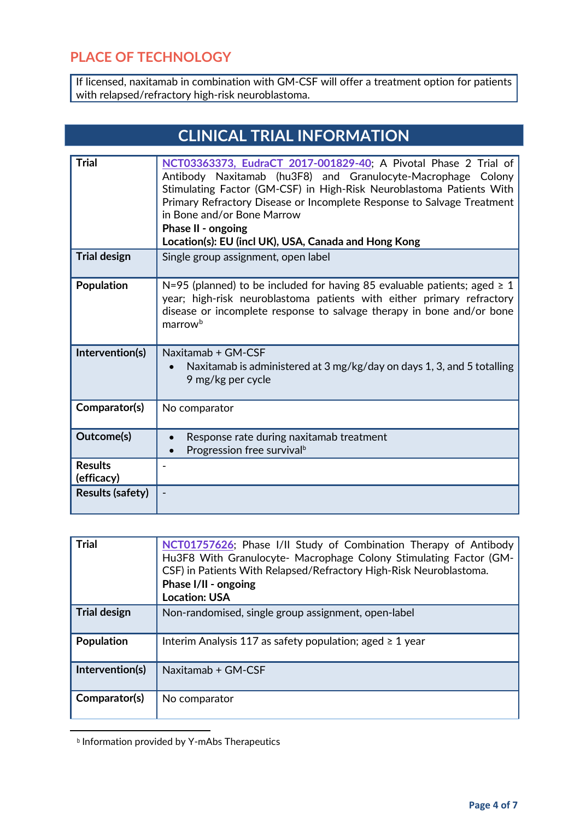#### **PLACE OF TECHNOLOGY**

If licensed, naxitamab in combination with GM-CSF will offer a treatment option for patients with relapsed/refractory high-risk neuroblastoma.

| <b>CLINICAL TRIAL INFORMATION</b> |                                                                                                                                                                                                                                                                                                                                                                                               |  |
|-----------------------------------|-----------------------------------------------------------------------------------------------------------------------------------------------------------------------------------------------------------------------------------------------------------------------------------------------------------------------------------------------------------------------------------------------|--|
|                                   |                                                                                                                                                                                                                                                                                                                                                                                               |  |
| <b>Trial</b>                      | NCT03363373, EudraCT 2017-001829-40; A Pivotal Phase 2 Trial of<br>Antibody Naxitamab (hu3F8) and Granulocyte-Macrophage Colony<br>Stimulating Factor (GM-CSF) in High-Risk Neuroblastoma Patients With<br>Primary Refractory Disease or Incomplete Response to Salvage Treatment<br>in Bone and/or Bone Marrow<br>Phase II - ongoing<br>Location(s): EU (incl UK), USA, Canada and Hong Kong |  |
| <b>Trial design</b>               | Single group assignment, open label                                                                                                                                                                                                                                                                                                                                                           |  |
| Population                        | N=95 (planned) to be included for having 85 evaluable patients; aged $\geq 1$<br>year; high-risk neuroblastoma patients with either primary refractory<br>disease or incomplete response to salvage therapy in bone and/or bone<br>marrow <sup>b</sup>                                                                                                                                        |  |
| Intervention(s)                   | Naxitamab + GM-CSF<br>Naxitamab is administered at 3 mg/kg/day on days 1, 3, and 5 totalling<br>9 mg/kg per cycle                                                                                                                                                                                                                                                                             |  |
| Comparator(s)                     | No comparator                                                                                                                                                                                                                                                                                                                                                                                 |  |
| Outcome(s)                        | Response rate during naxitamab treatment<br>Progression free survival <sup>b</sup>                                                                                                                                                                                                                                                                                                            |  |
| <b>Results</b><br>(efficacy)      |                                                                                                                                                                                                                                                                                                                                                                                               |  |
| <b>Results (safety)</b>           |                                                                                                                                                                                                                                                                                                                                                                                               |  |

| <b>Trial</b>        | NCT01757626; Phase I/II Study of Combination Therapy of Antibody<br>Hu3F8 With Granulocyte- Macrophage Colony Stimulating Factor (GM-<br>CSF) in Patients With Relapsed/Refractory High-Risk Neuroblastoma.<br>Phase I/II - ongoing<br><b>Location: USA</b> |
|---------------------|-------------------------------------------------------------------------------------------------------------------------------------------------------------------------------------------------------------------------------------------------------------|
| <b>Trial design</b> | Non-randomised, single group assignment, open-label                                                                                                                                                                                                         |
| Population          | Interim Analysis 117 as safety population; aged $\geq 1$ year                                                                                                                                                                                               |
| Intervention(s)     | Naxitamab + GM-CSF                                                                                                                                                                                                                                          |
| Comparator(s)       | No comparator                                                                                                                                                                                                                                               |

**b** Information provided by Y-mAbs Therapeutics

<span id="page-3-0"></span> $\overline{a}$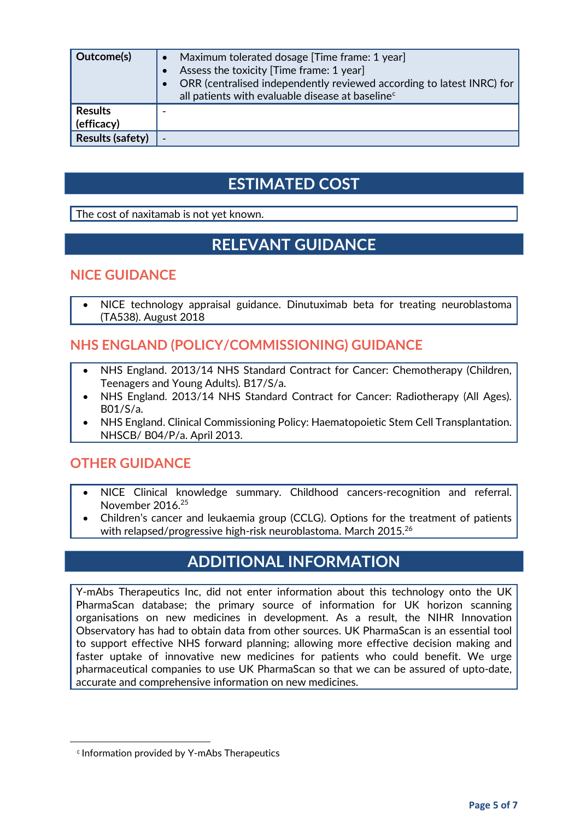| Outcome(s)                   | Maximum tolerated dosage [Time frame: 1 year]<br>$\bullet$<br>Assess the toxicity [Time frame: 1 year]<br>$\bullet$<br>ORR (centralised independently reviewed according to latest INRC) for<br>all patients with evaluable disease at baseline <sup>c</sup> |
|------------------------------|--------------------------------------------------------------------------------------------------------------------------------------------------------------------------------------------------------------------------------------------------------------|
| <b>Results</b><br>(efficacy) |                                                                                                                                                                                                                                                              |
| <b>Results (safety)</b>      |                                                                                                                                                                                                                                                              |

# **ESTIMATED COST**

The cost of naxitamab is not yet known.

# **RELEVANT GUIDANCE**

#### **NICE GUIDANCE**

• NICE technology appraisal guidance. Dinutuximab beta for treating neuroblastoma (TA538). August 2018

#### **NHS ENGLAND (POLICY/COMMISSIONING) GUIDANCE**

- NHS England. 2013/14 NHS Standard Contract for Cancer: Chemotherapy (Children, Teenagers and Young Adults). B17/S/a.
- NHS England. 2013/14 NHS Standard Contract for Cancer: Radiotherapy (All Ages). B01/S/a.
- NHS England. Clinical Commissioning Policy: Haematopoietic Stem Cell Transplantation. NHSCB/ B04/P/a. April 2013.

#### **OTHER GUIDANCE**

- NICE Clinical knowledge summary. Childhood cancers-recognition and referral. November 2016.25
- Children's cancer and leukaemia group (CCLG). Options for the treatment of patients with relapsed/progressive high-risk neuroblastoma. March 2015. $^{26}$

# **ADDITIONAL INFORMATION**

Y-mAbs Therapeutics Inc, did not enter information about this technology onto the UK PharmaScan database; the primary source of information for UK horizon scanning organisations on new medicines in development. As a result, the NIHR Innovation Observatory has had to obtain data from other sources. UK PharmaScan is an essential tool to support effective NHS forward planning; allowing more effective decision making and faster uptake of innovative new medicines for patients who could benefit. We urge pharmaceutical companies to use UK PharmaScan so that we can be assured of upto-date, accurate and comprehensive information on new medicines.

<span id="page-4-0"></span>**.** 

<sup>c</sup> Information provided by Y-mAbs Therapeutics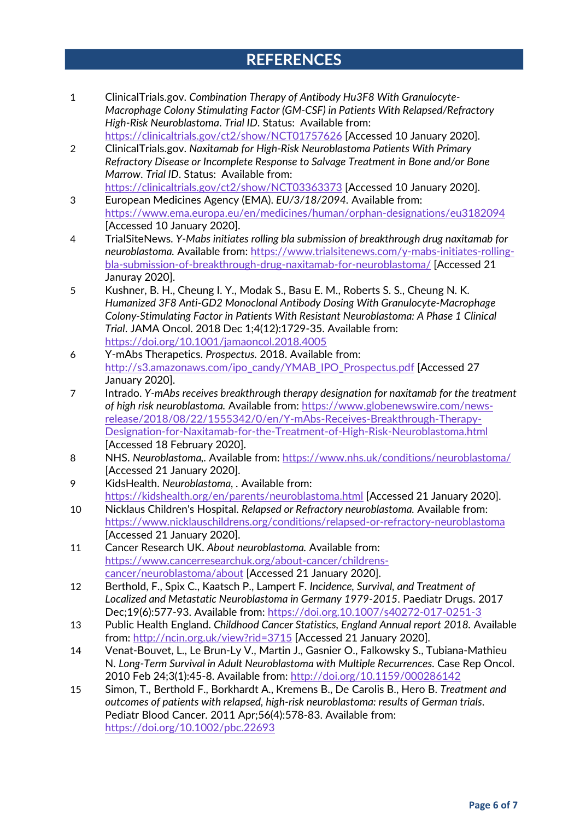# **REFERENCES**

- 1 ClinicalTrials.gov. *Combination Therapy of Antibody Hu3F8 With Granulocyte-Macrophage Colony Stimulating Factor (GM-CSF) in Patients With Relapsed/Refractory High-Risk Neuroblastoma*. *Trial ID*. Status: Available from: <https://clinicaltrials.gov/ct2/show/NCT01757626> [Accessed 10 January 2020].
- 2 ClinicalTrials.gov. *Naxitamab for High-Risk Neuroblastoma Patients With Primary Refractory Disease or Incomplete Response to Salvage Treatment in Bone and/or Bone Marrow*. *Trial ID*. Status: Available from: <https://clinicaltrials.gov/ct2/show/NCT03363373> [Accessed 10 January 2020].
- 3 European Medicines Agency (EMA). *EU/3/18/2094.* Available from: <https://www.ema.europa.eu/en/medicines/human/orphan-designations/eu3182094> [Accessed 10 January 2020].
- 4 TrialSiteNews. *Y-Mabs initiates rolling bla submission of breakthrough drug naxitamab for neuroblastoma.* Available from: [https://www.trialsitenews.com/y-mabs-initiates-rolling](https://www.trialsitenews.com/y-mabs-initiates-rolling-bla-submission-of-breakthrough-drug-naxitamab-for-neuroblastoma/)[bla-submission-of-breakthrough-drug-naxitamab-for-neuroblastoma/](https://www.trialsitenews.com/y-mabs-initiates-rolling-bla-submission-of-breakthrough-drug-naxitamab-for-neuroblastoma/) [Accessed 21 Januray 2020].
- 5 Kushner, B. H., Cheung I. Y., Modak S., Basu E. M., Roberts S. S., Cheung N. K. *Humanized 3F8 Anti-GD2 Monoclonal Antibody Dosing With Granulocyte-Macrophage Colony-Stimulating Factor in Patients With Resistant Neuroblastoma: A Phase 1 Clinical Trial*. JAMA Oncol. 2018 Dec 1;4(12):1729-35. Available from: <https://doi.org/10.1001/jamaoncol.2018.4005>
- 6 Y-mAbs Therapetics. *Prospectus.* 2018. Available from: [http://s3.amazonaws.com/ipo\\_candy/YMAB\\_IPO\\_Prospectus.pdf](http://s3.amazonaws.com/ipo_candy/YMAB_IPO_Prospectus.pdf) [Accessed 27 January 2020].
- 7 Intrado. *Y-mAbs receives breakthrough therapy designation for naxitamab for the treatment of high risk neuroblastoma.* Available from[: https://www.globenewswire.com/news](https://www.globenewswire.com/news-release/2018/08/22/1555342/0/en/Y-mAbs-Receives-Breakthrough-Therapy-Designation-for-Naxitamab-for-the-Treatment-of-High-Risk-Neuroblastoma.html)[release/2018/08/22/1555342/0/en/Y-mAbs-Receives-Breakthrough-Therapy-](https://www.globenewswire.com/news-release/2018/08/22/1555342/0/en/Y-mAbs-Receives-Breakthrough-Therapy-Designation-for-Naxitamab-for-the-Treatment-of-High-Risk-Neuroblastoma.html)[Designation-for-Naxitamab-for-the-Treatment-of-High-Risk-Neuroblastoma.html](https://www.globenewswire.com/news-release/2018/08/22/1555342/0/en/Y-mAbs-Receives-Breakthrough-Therapy-Designation-for-Naxitamab-for-the-Treatment-of-High-Risk-Neuroblastoma.html) [Accessed 18 February 2020].
- 8 NHS. *Neuroblastoma,.* Available from:<https://www.nhs.uk/conditions/neuroblastoma/> [Accessed 21 January 2020].
- 9 KidsHealth. *Neuroblastoma, .* Available from: <https://kidshealth.org/en/parents/neuroblastoma.html> [Accessed 21 January 2020].
- 10 Nicklaus Children's Hospital. *Relapsed or Refractory neuroblastoma.* Available from: <https://www.nicklauschildrens.org/conditions/relapsed-or-refractory-neuroblastoma> [Accessed 21 January 2020].
- 11 Cancer Research UK. *About neuroblastoma.* Available from: [https://www.cancerresearchuk.org/about-cancer/childrens](https://www.cancerresearchuk.org/about-cancer/childrens-cancer/neuroblastoma/about)[cancer/neuroblastoma/about](https://www.cancerresearchuk.org/about-cancer/childrens-cancer/neuroblastoma/about) [Accessed 21 January 2020].
- 12 Berthold, F., Spix C., Kaatsch P., Lampert F. *Incidence, Survival, and Treatment of Localized and Metastatic Neuroblastoma in Germany 1979-2015*. Paediatr Drugs. 2017 Dec;19(6):577-93. Available from:<https://doi.org.10.1007/s40272-017-0251-3>
- 13 Public Health England. *Childhood Cancer Statistics, England Annual report 2018.* Available from:<http://ncin.org.uk/view?rid=3715> [Accessed 21 January 2020].
- 14 Venat-Bouvet, L., Le Brun-Ly V., Martin J., Gasnier O., Falkowsky S., Tubiana-Mathieu N. *Long-Term Survival in Adult Neuroblastoma with Multiple Recurrences*. Case Rep Oncol. 2010 Feb 24;3(1):45-8. Available from:<http://doi.org/10.1159/000286142>
- 15 Simon, T., Berthold F., Borkhardt A., Kremens B., De Carolis B., Hero B. *Treatment and outcomes of patients with relapsed, high-risk neuroblastoma: results of German trials*. Pediatr Blood Cancer. 2011 Apr;56(4):578-83. Available from: <https://doi.org/10.1002/pbc.22693>